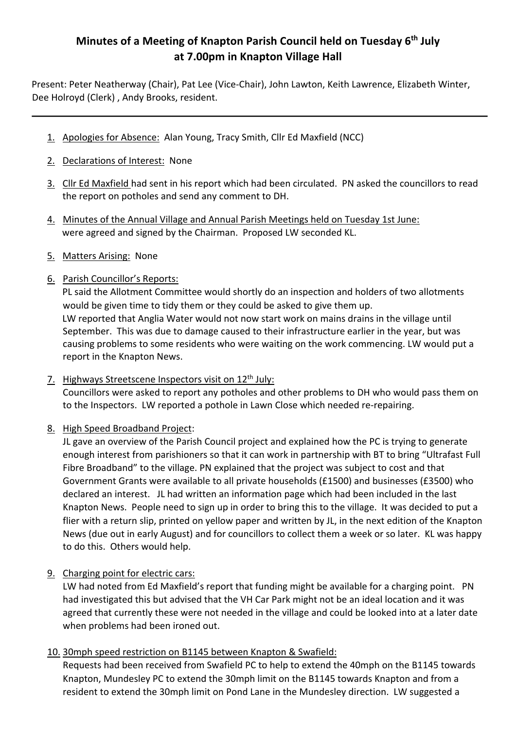# **Minutes of a Meeting of Knapton Parish Council held on Tuesday 6th July at 7.00pm in Knapton Village Hall**

Present: Peter Neatherway (Chair), Pat Lee (Vice-Chair), John Lawton, Keith Lawrence, Elizabeth Winter, Dee Holroyd (Clerk) , Andy Brooks, resident.

- 1. Apologies for Absence: Alan Young, Tracy Smith, Cllr Ed Maxfield (NCC)
- 2. Declarations of Interest: None
- 3. Cllr Ed Maxfield had sent in his report which had been circulated. PN asked the councillors to read the report on potholes and send any comment to DH.
- 4. Minutes of the Annual Village and Annual Parish Meetings held on Tuesday 1st June: were agreed and signed by the Chairman. Proposed LW seconded KL.
- 5. Matters Arising: None

## 6. Parish Councillor's Reports:

PL said the Allotment Committee would shortly do an inspection and holders of two allotments would be given time to tidy them or they could be asked to give them up. LW reported that Anglia Water would not now start work on mains drains in the village until September. This was due to damage caused to their infrastructure earlier in the year, but was causing problems to some residents who were waiting on the work commencing. LW would put a report in the Knapton News.

7. Highways Streetscene Inspectors visit on 12<sup>th</sup> July:

Councillors were asked to report any potholes and other problems to DH who would pass them on to the Inspectors. LW reported a pothole in Lawn Close which needed re-repairing.

8. High Speed Broadband Project:

JL gave an overview of the Parish Council project and explained how the PC is trying to generate enough interest from parishioners so that it can work in partnership with BT to bring "Ultrafast Full Fibre Broadband" to the village. PN explained that the project was subject to cost and that Government Grants were available to all private households (£1500) and businesses (£3500) who declared an interest. JL had written an information page which had been included in the last Knapton News. People need to sign up in order to bring this to the village. It was decided to put a flier with a return slip, printed on yellow paper and written by JL, in the next edition of the Knapton News (due out in early August) and for councillors to collect them a week or so later. KL was happy to do this. Others would help.

9. Charging point for electric cars:

LW had noted from Ed Maxfield's report that funding might be available for a charging point. PN had investigated this but advised that the VH Car Park might not be an ideal location and it was agreed that currently these were not needed in the village and could be looked into at a later date when problems had been ironed out.

10. 30mph speed restriction on B1145 between Knapton & Swafield:

Requests had been received from Swafield PC to help to extend the 40mph on the B1145 towards Knapton, Mundesley PC to extend the 30mph limit on the B1145 towards Knapton and from a resident to extend the 30mph limit on Pond Lane in the Mundesley direction. LW suggested a